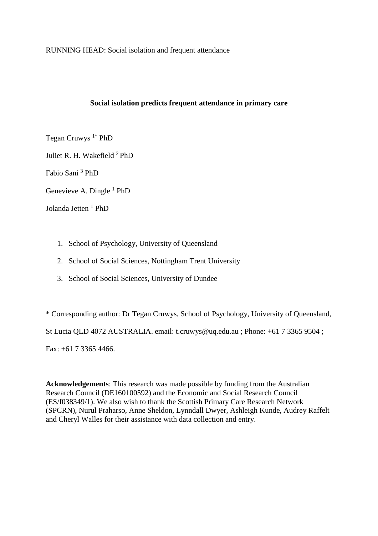RUNNING HEAD: Social isolation and frequent attendance

## **Social isolation predicts frequent attendance in primary care**

Tegan Cruwys  $1^*$  PhD

Juliet R. H. Wakefield <sup>2</sup>PhD

Fabio Sani <sup>3</sup> PhD

Genevieve A. Dingle  $<sup>1</sup>$  PhD</sup>

Jolanda Jetten<sup>1</sup> PhD

- 1. School of Psychology, University of Queensland
- 2. School of Social Sciences, Nottingham Trent University
- 3. School of Social Sciences, University of Dundee

\* Corresponding author: Dr Tegan Cruwys, School of Psychology, University of Queensland, St Lucia QLD 4072 AUSTRALIA. email: t.cruwys@uq.edu.au ; Phone: +61 7 3365 9504 ; Fax: +61 7 3365 4466.

**Acknowledgements**: This research was made possible by funding from the Australian Research Council (DE160100592) and the Economic and Social Research Council (ES/I038349/1). We also wish to thank the Scottish Primary Care Research Network (SPCRN), Nurul Praharso, Anne Sheldon, Lynndall Dwyer, Ashleigh Kunde, Audrey Raffelt and Cheryl Walles for their assistance with data collection and entry.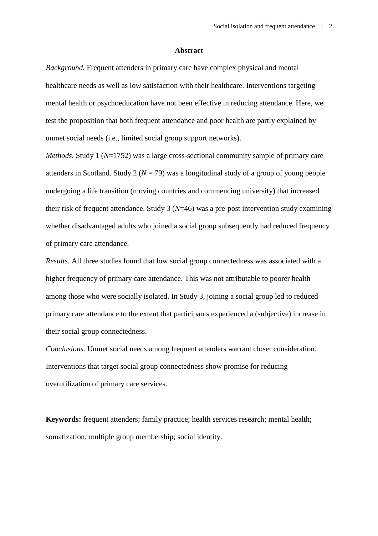#### **Abstract**

*Background.* Frequent attenders in primary care have complex physical and mental healthcare needs as well as low satisfaction with their healthcare. Interventions targeting mental health or psychoeducation have not been effective in reducing attendance. Here, we test the proposition that both frequent attendance and poor health are partly explained by unmet social needs (i.e., limited social group support networks).

*Methods.* Study 1 (*N*=1752) was a large cross-sectional community sample of primary care attenders in Scotland. Study 2 ( $N = 79$ ) was a longitudinal study of a group of young people undergoing a life transition (moving countries and commencing university) that increased their risk of frequent attendance. Study 3 (*N*=46) was a pre-post intervention study examining whether disadvantaged adults who joined a social group subsequently had reduced frequency of primary care attendance.

*Results.* All three studies found that low social group connectedness was associated with a higher frequency of primary care attendance. This was not attributable to poorer health among those who were socially isolated. In Study 3, joining a social group led to reduced primary care attendance to the extent that participants experienced a (subjective) increase in their social group connectedness.

*Conclusions.* Unmet social needs among frequent attenders warrant closer consideration. Interventions that target social group connectedness show promise for reducing overutilization of primary care services.

**Keywords:** frequent attenders; family practice; health services research; mental health; somatization; multiple group membership; social identity.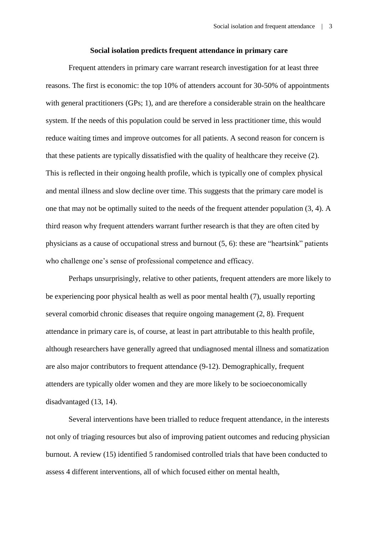#### **Social isolation predicts frequent attendance in primary care**

Frequent attenders in primary care warrant research investigation for at least three reasons. The first is economic: the top 10% of attenders account for 30-50% of appointments with general practitioners (GPs; 1), and are therefore a considerable strain on the healthcare system. If the needs of this population could be served in less practitioner time, this would reduce waiting times and improve outcomes for all patients. A second reason for concern is that these patients are typically dissatisfied with the quality of healthcare they receive (2). This is reflected in their ongoing health profile, which is typically one of complex physical and mental illness and slow decline over time. This suggests that the primary care model is one that may not be optimally suited to the needs of the frequent attender population (3, 4). A third reason why frequent attenders warrant further research is that they are often cited by physicians as a cause of occupational stress and burnout (5, 6): these are "heartsink" patients who challenge one's sense of professional competence and efficacy.

Perhaps unsurprisingly, relative to other patients, frequent attenders are more likely to be experiencing poor physical health as well as poor mental health (7), usually reporting several comorbid chronic diseases that require ongoing management (2, 8). Frequent attendance in primary care is, of course, at least in part attributable to this health profile, although researchers have generally agreed that undiagnosed mental illness and somatization are also major contributors to frequent attendance (9-12). Demographically, frequent attenders are typically older women and they are more likely to be socioeconomically disadvantaged (13, 14).

Several interventions have been trialled to reduce frequent attendance, in the interests not only of triaging resources but also of improving patient outcomes and reducing physician burnout. A review (15) identified 5 randomised controlled trials that have been conducted to assess 4 different interventions, all of which focused either on mental health,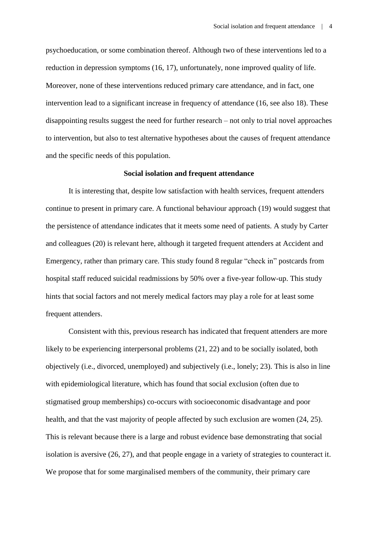psychoeducation, or some combination thereof. Although two of these interventions led to a reduction in depression symptoms (16, 17), unfortunately, none improved quality of life. Moreover, none of these interventions reduced primary care attendance, and in fact, one intervention lead to a significant increase in frequency of attendance (16, see also 18). These disappointing results suggest the need for further research – not only to trial novel approaches to intervention, but also to test alternative hypotheses about the causes of frequent attendance and the specific needs of this population.

#### **Social isolation and frequent attendance**

It is interesting that, despite low satisfaction with health services, frequent attenders continue to present in primary care. A functional behaviour approach (19) would suggest that the persistence of attendance indicates that it meets some need of patients. A study by Carter and colleagues (20) is relevant here, although it targeted frequent attenders at Accident and Emergency, rather than primary care. This study found 8 regular "check in" postcards from hospital staff reduced suicidal readmissions by 50% over a five-year follow-up. This study hints that social factors and not merely medical factors may play a role for at least some frequent attenders.

Consistent with this, previous research has indicated that frequent attenders are more likely to be experiencing interpersonal problems (21, 22) and to be socially isolated, both objectively (i.e., divorced, unemployed) and subjectively (i.e., lonely; 23). This is also in line with epidemiological literature, which has found that social exclusion (often due to stigmatised group memberships) co-occurs with socioeconomic disadvantage and poor health, and that the vast majority of people affected by such exclusion are women (24, 25). This is relevant because there is a large and robust evidence base demonstrating that social isolation is aversive (26, 27), and that people engage in a variety of strategies to counteract it. We propose that for some marginalised members of the community, their primary care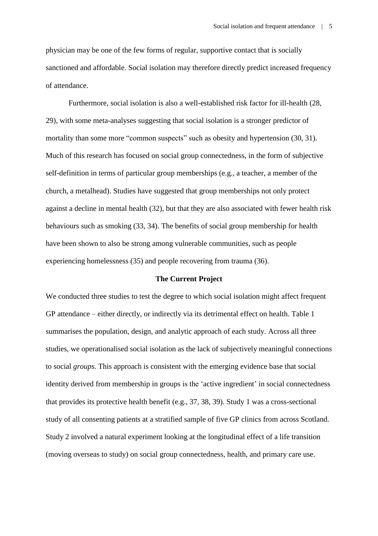physician may be one of the few forms of regular, supportive contact that is socially sanctioned and affordable. Social isolation may therefore directly predict increased frequency of attendance.

Furthermore, social isolation is also a well-established risk factor for ill-health (28, 29), with some meta-analyses suggesting that social isolation is a stronger predictor of mortality than some more "common suspects" such as obesity and hypertension (30, 31). Much of this research has focused on social group connectedness, in the form of subjective self-definition in terms of particular group memberships (e.g., a teacher, a member of the church, a metalhead). Studies have suggested that group memberships not only protect against a decline in mental health (32), but that they are also associated with fewer health risk behaviours such as smoking (33, 34). The benefits of social group membership for health have been shown to also be strong among vulnerable communities, such as people experiencing homelessness (35) and people recovering from trauma (36).

#### **The Current Project**

We conducted three studies to test the degree to which social isolation might affect frequent GP attendance – either directly, or indirectly via its detrimental effect on health. Table 1 summarises the population, design, and analytic approach of each study. Across all three studies, we operationalised social isolation as the lack of subjectively meaningful connections to social *groups*. This approach is consistent with the emerging evidence base that social identity derived from membership in groups is the 'active ingredient' in social connectedness that provides its protective health benefit (e.g., 37, 38, 39). Study 1 was a cross-sectional study of all consenting patients at a stratified sample of five GP clinics from across Scotland. Study 2 involved a natural experiment looking at the longitudinal effect of a life transition (moving overseas to study) on social group connectedness, health, and primary care use.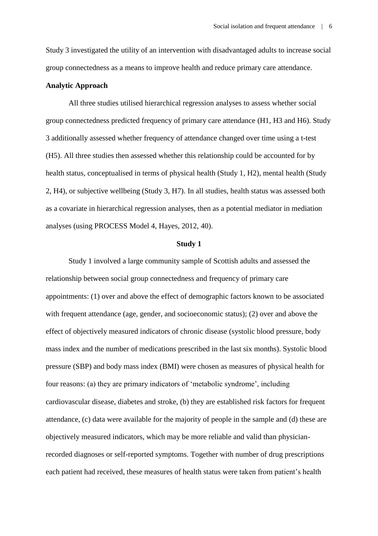Study 3 investigated the utility of an intervention with disadvantaged adults to increase social group connectedness as a means to improve health and reduce primary care attendance.

#### **Analytic Approach**

All three studies utilised hierarchical regression analyses to assess whether social group connectedness predicted frequency of primary care attendance (H1, H3 and H6). Study 3 additionally assessed whether frequency of attendance changed over time using a t-test (H5). All three studies then assessed whether this relationship could be accounted for by health status, conceptualised in terms of physical health (Study 1, H2), mental health (Study 2, H4), or subjective wellbeing (Study 3, H7). In all studies, health status was assessed both as a covariate in hierarchical regression analyses, then as a potential mediator in mediation analyses (using PROCESS Model 4, Hayes, 2012, 40).

#### **Study 1**

Study 1 involved a large community sample of Scottish adults and assessed the relationship between social group connectedness and frequency of primary care appointments: (1) over and above the effect of demographic factors known to be associated with frequent attendance (age, gender, and socioeconomic status); (2) over and above the effect of objectively measured indicators of chronic disease (systolic blood pressure, body mass index and the number of medications prescribed in the last six months). Systolic blood pressure (SBP) and body mass index (BMI) were chosen as measures of physical health for four reasons: (a) they are primary indicators of 'metabolic syndrome', including cardiovascular disease, diabetes and stroke, (b) they are established risk factors for frequent attendance, (c) data were available for the majority of people in the sample and (d) these are objectively measured indicators, which may be more reliable and valid than physicianrecorded diagnoses or self-reported symptoms. Together with number of drug prescriptions each patient had received, these measures of health status were taken from patient's health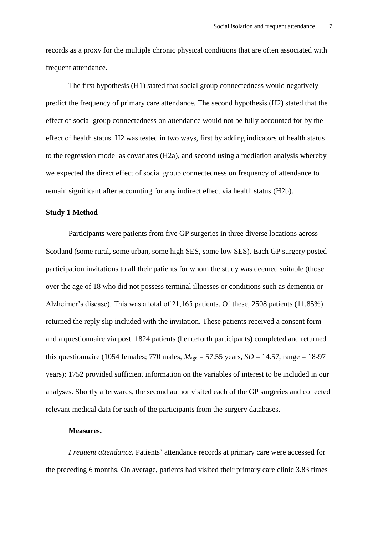records as a proxy for the multiple chronic physical conditions that are often associated with frequent attendance.

The first hypothesis (H1) stated that social group connectedness would negatively predict the frequency of primary care attendance. The second hypothesis (H2) stated that the effect of social group connectedness on attendance would not be fully accounted for by the effect of health status. H2 was tested in two ways, first by adding indicators of health status to the regression model as covariates (H2a), and second using a mediation analysis whereby we expected the direct effect of social group connectedness on frequency of attendance to remain significant after accounting for any indirect effect via health status (H2b).

## **Study 1 Method**

Participants were patients from five GP surgeries in three diverse locations across Scotland (some rural, some urban, some high SES, some low SES). Each GP surgery posted participation invitations to all their patients for whom the study was deemed suitable (those over the age of 18 who did not possess terminal illnesses or conditions such as dementia or Alzheimer's disease). This was a total of 21,165 patients. Of these, 2508 patients (11.85%) returned the reply slip included with the invitation. These patients received a consent form and a questionnaire via post. 1824 patients (henceforth participants) completed and returned this questionnaire (1054 females; 770 males,  $M_{\text{age}} = 57.55$  years,  $SD = 14.57$ , range = 18-97 years); 1752 provided sufficient information on the variables of interest to be included in our analyses. Shortly afterwards, the second author visited each of the GP surgeries and collected relevant medical data for each of the participants from the surgery databases.

#### **Measures.**

*Frequent attendance.* Patients' attendance records at primary care were accessed for the preceding 6 months. On average, patients had visited their primary care clinic 3.83 times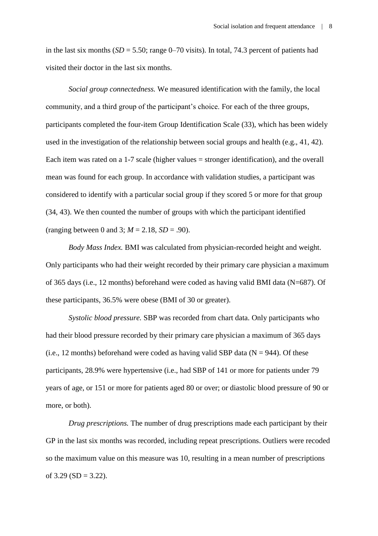in the last six months  $(SD = 5.50; \text{range } 0-70 \text{ visits})$ . In total, 74.3 percent of patients had visited their doctor in the last six months.

*Social group connectedness.* We measured identification with the family, the local community, and a third group of the participant's choice. For each of the three groups, participants completed the four-item Group Identification Scale (33), which has been widely used in the investigation of the relationship between social groups and health (e.g., 41, 42). Each item was rated on a 1-7 scale (higher values = stronger identification), and the overall mean was found for each group. In accordance with validation studies, a participant was considered to identify with a particular social group if they scored 5 or more for that group (34, 43). We then counted the number of groups with which the participant identified (ranging between 0 and 3;  $M = 2.18$ ,  $SD = .90$ ).

*Body Mass Index.* BMI was calculated from physician-recorded height and weight. Only participants who had their weight recorded by their primary care physician a maximum of 365 days (i.e., 12 months) beforehand were coded as having valid BMI data (N=687). Of these participants, 36.5% were obese (BMI of 30 or greater).

*Systolic blood pressure.* SBP was recorded from chart data. Only participants who had their blood pressure recorded by their primary care physician a maximum of 365 days (i.e., 12 months) beforehand were coded as having valid SBP data ( $N = 944$ ). Of these participants, 28.9% were hypertensive (i.e., had SBP of 141 or more for patients under 79 years of age, or 151 or more for patients aged 80 or over; or diastolic blood pressure of 90 or more, or both).

*Drug prescriptions.* The number of drug prescriptions made each participant by their GP in the last six months was recorded, including repeat prescriptions. Outliers were recoded so the maximum value on this measure was 10, resulting in a mean number of prescriptions of  $3.29$  (SD =  $3.22$ ).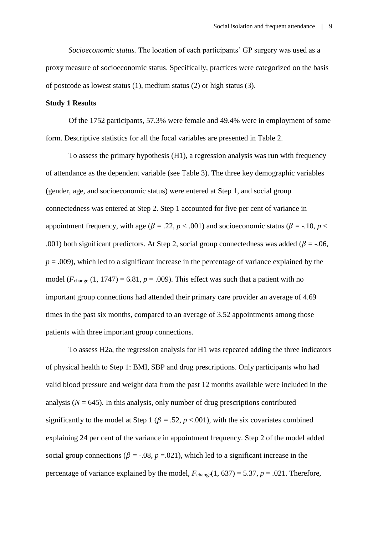*Socioeconomic status.* The location of each participants' GP surgery was used as a proxy measure of socioeconomic status. Specifically, practices were categorized on the basis of postcode as lowest status (1), medium status (2) or high status (3).

#### **Study 1 Results**

Of the 1752 participants, 57.3% were female and 49.4% were in employment of some form. Descriptive statistics for all the focal variables are presented in Table 2.

To assess the primary hypothesis (H1), a regression analysis was run with frequency of attendance as the dependent variable (see Table 3). The three key demographic variables (gender, age, and socioeconomic status) were entered at Step 1, and social group connectedness was entered at Step 2. Step 1 accounted for five per cent of variance in appointment frequency, with age ( $\beta = .22$ ,  $p < .001$ ) and socioeconomic status ( $\beta = .10$ ,  $p <$ .001) both significant predictors. At Step 2, social group connectedness was added ( $\beta$  = -.06,  $p = .009$ ), which led to a significant increase in the percentage of variance explained by the model  $(F_{change} (1, 1747) = 6.81, p = .009)$ . This effect was such that a patient with no important group connections had attended their primary care provider an average of 4.69 times in the past six months, compared to an average of 3.52 appointments among those patients with three important group connections.

To assess H2a, the regression analysis for H1 was repeated adding the three indicators of physical health to Step 1: BMI, SBP and drug prescriptions. Only participants who had valid blood pressure and weight data from the past 12 months available were included in the analysis ( $N = 645$ ). In this analysis, only number of drug prescriptions contributed significantly to the model at Step 1 ( $\beta$  = .52,  $p$  <.001), with the six covariates combined explaining 24 per cent of the variance in appointment frequency. Step 2 of the model added social group connections ( $\beta$  = -.08,  $p$  =.021), which led to a significant increase in the percentage of variance explained by the model,  $F_{change}(1, 637) = 5.37$ ,  $p = .021$ . Therefore,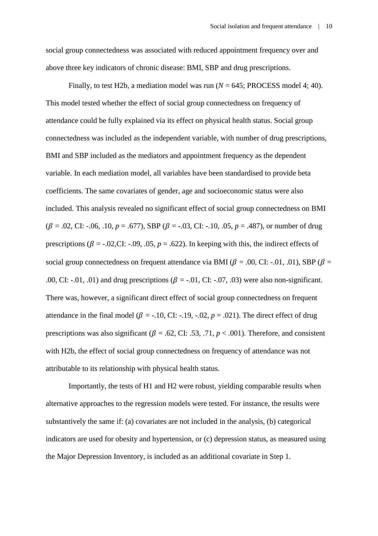social group connectedness was associated with reduced appointment frequency over and above three key indicators of chronic disease: BMI, SBP and drug prescriptions.

Finally, to test H2b, a mediation model was run  $(N = 645;$  PROCESS model 4; 40). This model tested whether the effect of social group connectedness on frequency of attendance could be fully explained via its effect on physical health status. Social group connectedness was included as the independent variable, with number of drug prescriptions, BMI and SBP included as the mediators and appointment frequency as the dependent variable. In each mediation model, all variables have been standardised to provide beta coefficients. The same covariates of gender, age and socioeconomic status were also included. This analysis revealed no significant effect of social group connectedness on BMI  $(\beta = .02, \text{CI: } -.06, .10, p = .677),$  SBP ( $\beta = -.03, \text{CI: } -.10, .05, p = .487$ ), or number of drug prescriptions ( $\beta$  = -.02,CI: -.09, .05,  $p = .622$ ). In keeping with this, the indirect effects of social group connectedness on frequent attendance via BMI ( $\beta$  = .00, CI: -.01, .01), SBP ( $\beta$  = .00, CI: -.01, .01) and drug prescriptions ( $\beta$  = -.01, CI: -.07, .03) were also non-significant. There was, however, a significant direct effect of social group connectedness on frequent attendance in the final model ( $\beta$  = -.10, CI: -.19, -.02,  $p = .021$ ). The direct effect of drug prescriptions was also significant ( $\beta$  = .62, CI: .53, .71,  $p < .001$ ). Therefore, and consistent with H2b, the effect of social group connectedness on frequency of attendance was not attributable to its relationship with physical health status.

Importantly, the tests of H1 and H2 were robust, yielding comparable results when alternative approaches to the regression models were tested. For instance, the results were substantively the same if: (a) covariates are not included in the analysis, (b) categorical indicators are used for obesity and hypertension, or (c) depression status, as measured using the Major Depression Inventory, is included as an additional covariate in Step 1.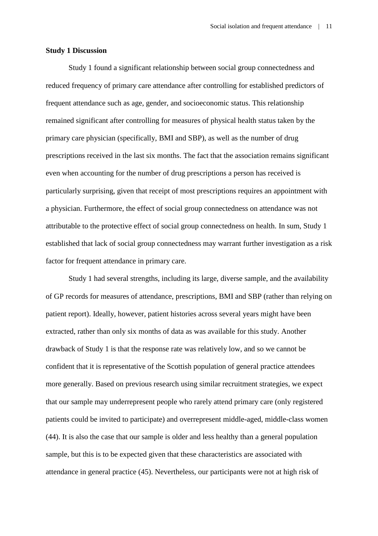#### **Study 1 Discussion**

Study 1 found a significant relationship between social group connectedness and reduced frequency of primary care attendance after controlling for established predictors of frequent attendance such as age, gender, and socioeconomic status. This relationship remained significant after controlling for measures of physical health status taken by the primary care physician (specifically, BMI and SBP), as well as the number of drug prescriptions received in the last six months. The fact that the association remains significant even when accounting for the number of drug prescriptions a person has received is particularly surprising, given that receipt of most prescriptions requires an appointment with a physician. Furthermore, the effect of social group connectedness on attendance was not attributable to the protective effect of social group connectedness on health. In sum, Study 1 established that lack of social group connectedness may warrant further investigation as a risk factor for frequent attendance in primary care.

Study 1 had several strengths, including its large, diverse sample, and the availability of GP records for measures of attendance, prescriptions, BMI and SBP (rather than relying on patient report). Ideally, however, patient histories across several years might have been extracted, rather than only six months of data as was available for this study. Another drawback of Study 1 is that the response rate was relatively low, and so we cannot be confident that it is representative of the Scottish population of general practice attendees more generally. Based on previous research using similar recruitment strategies, we expect that our sample may underrepresent people who rarely attend primary care (only registered patients could be invited to participate) and overrepresent middle-aged, middle-class women (44). It is also the case that our sample is older and less healthy than a general population sample, but this is to be expected given that these characteristics are associated with attendance in general practice (45). Nevertheless, our participants were not at high risk of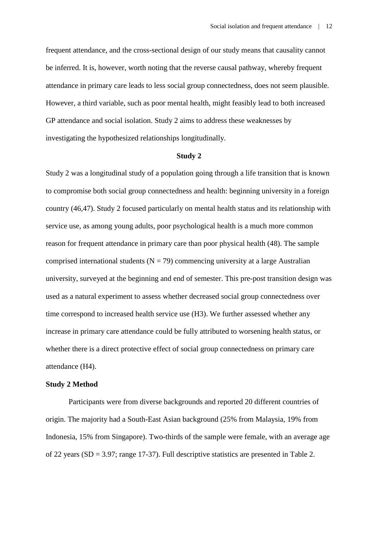frequent attendance, and the cross-sectional design of our study means that causality cannot be inferred. It is, however, worth noting that the reverse causal pathway, whereby frequent attendance in primary care leads to less social group connectedness, does not seem plausible. However, a third variable, such as poor mental health, might feasibly lead to both increased GP attendance and social isolation. Study 2 aims to address these weaknesses by investigating the hypothesized relationships longitudinally.

#### **Study 2**

Study 2 was a longitudinal study of a population going through a life transition that is known to compromise both social group connectedness and health: beginning university in a foreign country (46,47). Study 2 focused particularly on mental health status and its relationship with service use, as among young adults, poor psychological health is a much more common reason for frequent attendance in primary care than poor physical health (48). The sample comprised international students ( $N = 79$ ) commencing university at a large Australian university, surveyed at the beginning and end of semester. This pre-post transition design was used as a natural experiment to assess whether decreased social group connectedness over time correspond to increased health service use (H3). We further assessed whether any increase in primary care attendance could be fully attributed to worsening health status, or whether there is a direct protective effect of social group connectedness on primary care attendance (H4).

#### **Study 2 Method**

Participants were from diverse backgrounds and reported 20 different countries of origin. The majority had a South-East Asian background (25% from Malaysia, 19% from Indonesia, 15% from Singapore). Two-thirds of the sample were female, with an average age of 22 years (SD = 3.97; range 17-37). Full descriptive statistics are presented in Table 2.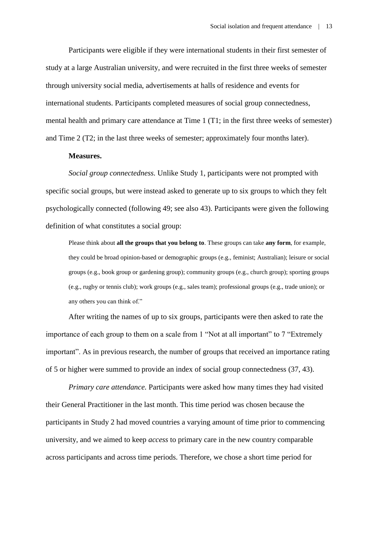Participants were eligible if they were international students in their first semester of study at a large Australian university, and were recruited in the first three weeks of semester through university social media, advertisements at halls of residence and events for international students. Participants completed measures of social group connectedness, mental health and primary care attendance at Time 1 (T1; in the first three weeks of semester) and Time 2 (T2; in the last three weeks of semester; approximately four months later).

#### **Measures.**

*Social group connectedness.* Unlike Study 1, participants were not prompted with specific social groups, but were instead asked to generate up to six groups to which they felt psychologically connected (following 49; see also 43). Participants were given the following definition of what constitutes a social group:

Please think about **all the groups that you belong to**. These groups can take **any form**, for example, they could be broad opinion-based or demographic groups (e.g., feminist; Australian); leisure or social groups (e.g., book group or gardening group); community groups (e.g., church group); sporting groups (e.g., rugby or tennis club); work groups (e.g., sales team); professional groups (e.g., trade union); or any others you can think of."

After writing the names of up to six groups, participants were then asked to rate the importance of each group to them on a scale from 1 "Not at all important" to 7 "Extremely important". As in previous research, the number of groups that received an importance rating of 5 or higher were summed to provide an index of social group connectedness (37, 43).

*Primary care attendance.* Participants were asked how many times they had visited their General Practitioner in the last month. This time period was chosen because the participants in Study 2 had moved countries a varying amount of time prior to commencing university, and we aimed to keep *access* to primary care in the new country comparable across participants and across time periods. Therefore, we chose a short time period for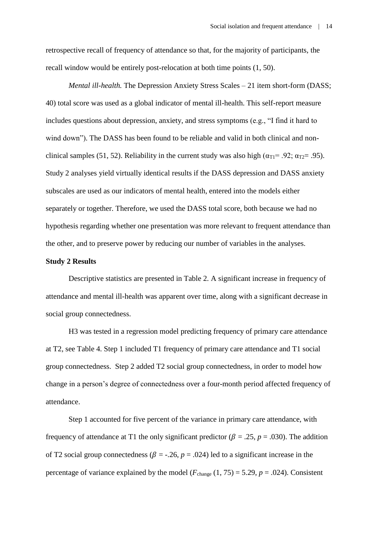retrospective recall of frequency of attendance so that, for the majority of participants, the recall window would be entirely post-relocation at both time points (1, 50).

*Mental ill-health.* The Depression Anxiety Stress Scales – 21 item short-form (DASS; 40) total score was used as a global indicator of mental ill-health. This self-report measure includes questions about depression, anxiety, and stress symptoms (e.g., "I find it hard to wind down"). The DASS has been found to be reliable and valid in both clinical and nonclinical samples (51, 52). Reliability in the current study was also high ( $\alpha_{\text{TI}}$ = .92;  $\alpha_{\text{TZ}}$ = .95). Study 2 analyses yield virtually identical results if the DASS depression and DASS anxiety subscales are used as our indicators of mental health, entered into the models either separately or together. Therefore, we used the DASS total score, both because we had no hypothesis regarding whether one presentation was more relevant to frequent attendance than the other, and to preserve power by reducing our number of variables in the analyses.

#### **Study 2 Results**

Descriptive statistics are presented in Table 2. A significant increase in frequency of attendance and mental ill-health was apparent over time, along with a significant decrease in social group connectedness.

H3 was tested in a regression model predicting frequency of primary care attendance at T2, see Table 4. Step 1 included T1 frequency of primary care attendance and T1 social group connectedness. Step 2 added T2 social group connectedness, in order to model how change in a person's degree of connectedness over a four-month period affected frequency of attendance.

Step 1 accounted for five percent of the variance in primary care attendance, with frequency of attendance at T1 the only significant predictor ( $\beta = .25$ ,  $p = .030$ ). The addition of T2 social group connectedness ( $\beta$  = -.26,  $p$  = .024) led to a significant increase in the percentage of variance explained by the model  $(F_{change} (1, 75) = 5.29, p = .024)$ . Consistent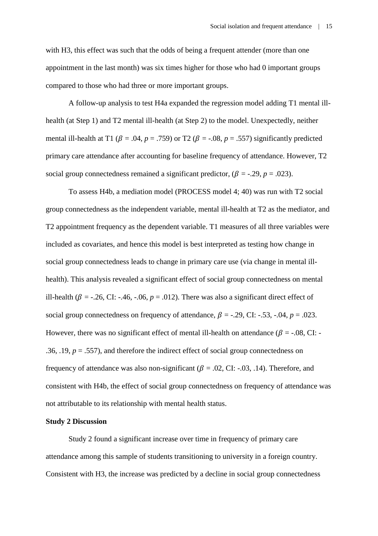with H3, this effect was such that the odds of being a frequent attender (more than one appointment in the last month) was six times higher for those who had 0 important groups compared to those who had three or more important groups.

A follow-up analysis to test H4a expanded the regression model adding T1 mental illhealth (at Step 1) and T2 mental ill-health (at Step 2) to the model. Unexpectedly, neither mental ill-health at T1 ( $\beta$  = .04,  $p$  = .759) or T2 ( $\beta$  = -.08,  $p$  = .557) significantly predicted primary care attendance after accounting for baseline frequency of attendance. However, T2 social group connectedness remained a significant predictor,  $(\beta = -0.29, p = 0.023)$ .

To assess H4b, a mediation model (PROCESS model 4; 40) was run with T2 social group connectedness as the independent variable, mental ill-health at T2 as the mediator, and T2 appointment frequency as the dependent variable. T1 measures of all three variables were included as covariates, and hence this model is best interpreted as testing how change in social group connectedness leads to change in primary care use (via change in mental illhealth). This analysis revealed a significant effect of social group connectedness on mental ill-health ( $\beta$  = -.26, CI: -.46, -.06,  $p = .012$ ). There was also a significant direct effect of social group connectedness on frequency of attendance,  $\beta = -0.29$ , CI:  $-.53$ ,  $-.04$ ,  $p = .023$ . However, there was no significant effect of mental ill-health on attendance ( $\beta$  = -.08, CI: -.36, .19,  $p = .557$ ), and therefore the indirect effect of social group connectedness on frequency of attendance was also non-significant ( $\beta$  = .02, CI: -.03, .14). Therefore, and consistent with H4b, the effect of social group connectedness on frequency of attendance was not attributable to its relationship with mental health status.

#### **Study 2 Discussion**

Study 2 found a significant increase over time in frequency of primary care attendance among this sample of students transitioning to university in a foreign country. Consistent with H3, the increase was predicted by a decline in social group connectedness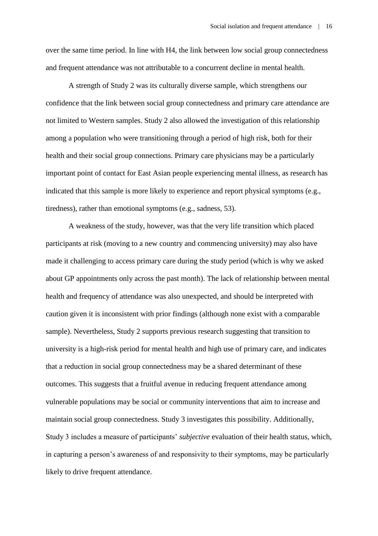over the same time period. In line with H4, the link between low social group connectedness and frequent attendance was not attributable to a concurrent decline in mental health.

A strength of Study 2 was its culturally diverse sample, which strengthens our confidence that the link between social group connectedness and primary care attendance are not limited to Western samples. Study 2 also allowed the investigation of this relationship among a population who were transitioning through a period of high risk, both for their health and their social group connections. Primary care physicians may be a particularly important point of contact for East Asian people experiencing mental illness, as research has indicated that this sample is more likely to experience and report physical symptoms (e.g., tiredness), rather than emotional symptoms (e.g., sadness, 53).

A weakness of the study, however, was that the very life transition which placed participants at risk (moving to a new country and commencing university) may also have made it challenging to access primary care during the study period (which is why we asked about GP appointments only across the past month). The lack of relationship between mental health and frequency of attendance was also unexpected, and should be interpreted with caution given it is inconsistent with prior findings (although none exist with a comparable sample). Nevertheless, Study 2 supports previous research suggesting that transition to university is a high-risk period for mental health and high use of primary care, and indicates that a reduction in social group connectedness may be a shared determinant of these outcomes. This suggests that a fruitful avenue in reducing frequent attendance among vulnerable populations may be social or community interventions that aim to increase and maintain social group connectedness. Study 3 investigates this possibility. Additionally, Study 3 includes a measure of participants' *subjective* evaluation of their health status, which, in capturing a person's awareness of and responsivity to their symptoms, may be particularly likely to drive frequent attendance.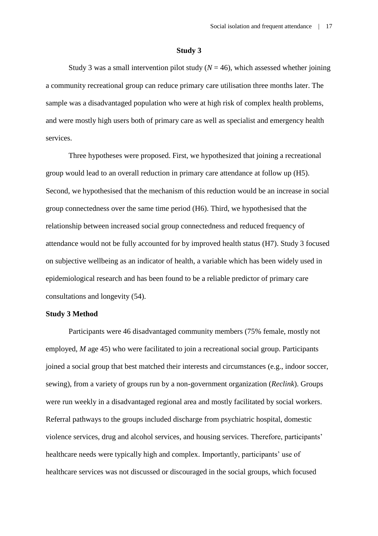#### **Study 3**

Study 3 was a small intervention pilot study  $(N = 46)$ , which assessed whether joining a community recreational group can reduce primary care utilisation three months later. The sample was a disadvantaged population who were at high risk of complex health problems, and were mostly high users both of primary care as well as specialist and emergency health services.

Three hypotheses were proposed. First, we hypothesized that joining a recreational group would lead to an overall reduction in primary care attendance at follow up (H5). Second, we hypothesised that the mechanism of this reduction would be an increase in social group connectedness over the same time period (H6). Third, we hypothesised that the relationship between increased social group connectedness and reduced frequency of attendance would not be fully accounted for by improved health status (H7). Study 3 focused on subjective wellbeing as an indicator of health, a variable which has been widely used in epidemiological research and has been found to be a reliable predictor of primary care consultations and longevity (54).

#### **Study 3 Method**

Participants were 46 disadvantaged community members (75% female, mostly not employed, *M* age 45) who were facilitated to join a recreational social group. Participants joined a social group that best matched their interests and circumstances (e.g., indoor soccer, sewing), from a variety of groups run by a non-government organization (*Reclink*). Groups were run weekly in a disadvantaged regional area and mostly facilitated by social workers. Referral pathways to the groups included discharge from psychiatric hospital, domestic violence services, drug and alcohol services, and housing services. Therefore, participants' healthcare needs were typically high and complex. Importantly, participants' use of healthcare services was not discussed or discouraged in the social groups, which focused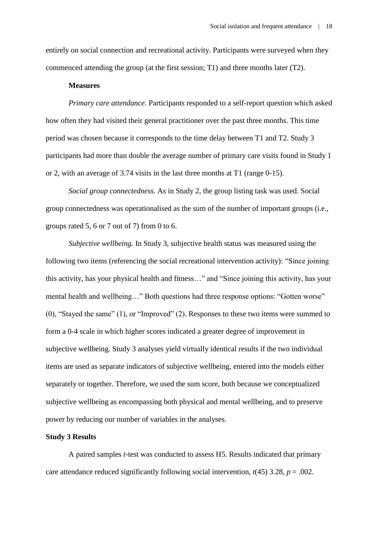entirely on social connection and recreational activity. Participants were surveyed when they commenced attending the group (at the first session; T1) and three months later (T2).

#### **Measures**

*Primary care attendance.* Participants responded to a self-report question which asked how often they had visited their general practitioner over the past three months. This time period was chosen because it corresponds to the time delay between T1 and T2. Study 3 participants had more than double the average number of primary care visits found in Study 1 or 2, with an average of 3.74 visits in the last three months at T1 (range 0-15).

*Social group connectedness.* As in Study 2, the group listing task was used. Social group connectedness was operationalised as the sum of the number of important groups (i.e., groups rated 5, 6 or 7 out of 7) from 0 to 6.

*Subjective wellbeing.* In Study 3, subjective health status was measured using the following two items (referencing the social recreational intervention activity): "Since joining this activity, has your physical health and fitness…" and "Since joining this activity, has your mental health and wellbeing…" Both questions had three response options: "Gotten worse" (0), "Stayed the same" (1), or "Improved" (2). Responses to these two items were summed to form a 0-4 scale in which higher scores indicated a greater degree of improvement in subjective wellbeing. Study 3 analyses yield virtually identical results if the two individual items are used as separate indicators of subjective wellbeing, entered into the models either separately or together. Therefore, we used the sum score, both because we conceptualized subjective wellbeing as encompassing both physical and mental wellbeing, and to preserve power by reducing our number of variables in the analyses.

## **Study 3 Results**

A paired samples *t*-test was conducted to assess H5. Results indicated that primary care attendance reduced significantly following social intervention,  $t(45)$  3.28,  $p = .002$ .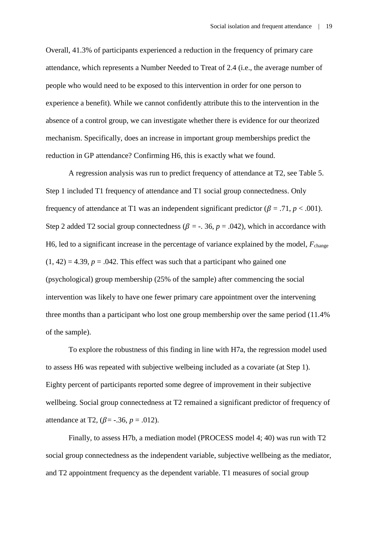Overall, 41.3% of participants experienced a reduction in the frequency of primary care attendance, which represents a Number Needed to Treat of 2.4 (i.e., the average number of people who would need to be exposed to this intervention in order for one person to experience a benefit). While we cannot confidently attribute this to the intervention in the absence of a control group, we can investigate whether there is evidence for our theorized mechanism. Specifically, does an increase in important group memberships predict the reduction in GP attendance? Confirming H6, this is exactly what we found.

A regression analysis was run to predict frequency of attendance at T2, see Table 5. Step 1 included T1 frequency of attendance and T1 social group connectedness. Only frequency of attendance at T1 was an independent significant predictor ( $\beta = .71$ ,  $p < .001$ ). Step 2 added T2 social group connectedness ( $\beta$  = -. 36,  $p$  = .042), which in accordance with H6, led to a significant increase in the percentage of variance explained by the model, *F*change  $(1, 42) = 4.39$ ,  $p = .042$ . This effect was such that a participant who gained one (psychological) group membership (25% of the sample) after commencing the social intervention was likely to have one fewer primary care appointment over the intervening three months than a participant who lost one group membership over the same period (11.4% of the sample).

To explore the robustness of this finding in line with H7a, the regression model used to assess H6 was repeated with subjective welbeing included as a covariate (at Step 1). Eighty percent of participants reported some degree of improvement in their subjective wellbeing. Social group connectedness at T2 remained a significant predictor of frequency of attendance at T2,  $(\beta = -.36, p = .012)$ .

Finally, to assess H7b, a mediation model (PROCESS model 4; 40) was run with T2 social group connectedness as the independent variable, subjective wellbeing as the mediator, and T2 appointment frequency as the dependent variable. T1 measures of social group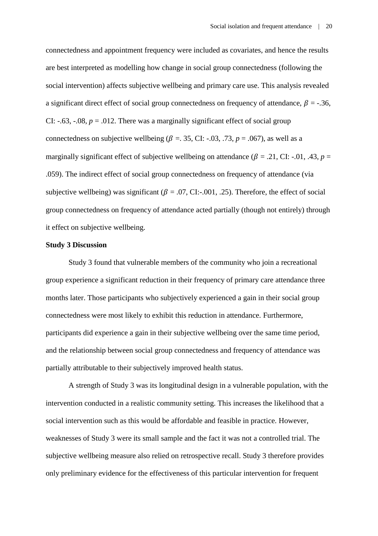connectedness and appointment frequency were included as covariates, and hence the results are best interpreted as modelling how change in social group connectedness (following the social intervention) affects subjective wellbeing and primary care use. This analysis revealed a significant direct effect of social group connectedness on frequency of attendance,  $\beta = -0.36$ , CI:  $-.63, -.08, p = .012$ . There was a marginally significant effect of social group connectedness on subjective wellbeing ( $\beta = 0.35$ , CI: -.03, .73,  $p = 0.067$ ), as well as a marginally significant effect of subjective wellbeing on attendance ( $\beta$  = .21, CI: -.01, .43,  $p$  = .059). The indirect effect of social group connectedness on frequency of attendance (via subjective wellbeing) was significant ( $\beta = .07$ , CI:-.001, .25). Therefore, the effect of social group connectedness on frequency of attendance acted partially (though not entirely) through it effect on subjective wellbeing.

#### **Study 3 Discussion**

Study 3 found that vulnerable members of the community who join a recreational group experience a significant reduction in their frequency of primary care attendance three months later. Those participants who subjectively experienced a gain in their social group connectedness were most likely to exhibit this reduction in attendance. Furthermore, participants did experience a gain in their subjective wellbeing over the same time period, and the relationship between social group connectedness and frequency of attendance was partially attributable to their subjectively improved health status.

A strength of Study 3 was its longitudinal design in a vulnerable population, with the intervention conducted in a realistic community setting. This increases the likelihood that a social intervention such as this would be affordable and feasible in practice. However, weaknesses of Study 3 were its small sample and the fact it was not a controlled trial. The subjective wellbeing measure also relied on retrospective recall. Study 3 therefore provides only preliminary evidence for the effectiveness of this particular intervention for frequent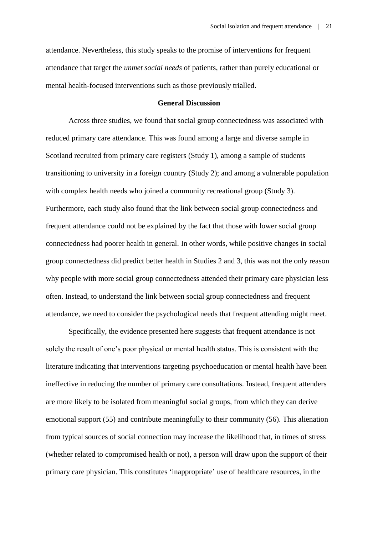attendance. Nevertheless, this study speaks to the promise of interventions for frequent attendance that target the *unmet social needs* of patients, rather than purely educational or mental health-focused interventions such as those previously trialled.

## **General Discussion**

Across three studies, we found that social group connectedness was associated with reduced primary care attendance. This was found among a large and diverse sample in Scotland recruited from primary care registers (Study 1), among a sample of students transitioning to university in a foreign country (Study 2); and among a vulnerable population with complex health needs who joined a community recreational group (Study 3). Furthermore, each study also found that the link between social group connectedness and frequent attendance could not be explained by the fact that those with lower social group connectedness had poorer health in general. In other words, while positive changes in social group connectedness did predict better health in Studies 2 and 3, this was not the only reason why people with more social group connectedness attended their primary care physician less often. Instead, to understand the link between social group connectedness and frequent attendance, we need to consider the psychological needs that frequent attending might meet.

Specifically, the evidence presented here suggests that frequent attendance is not solely the result of one's poor physical or mental health status. This is consistent with the literature indicating that interventions targeting psychoeducation or mental health have been ineffective in reducing the number of primary care consultations. Instead, frequent attenders are more likely to be isolated from meaningful social groups, from which they can derive emotional support (55) and contribute meaningfully to their community (56). This alienation from typical sources of social connection may increase the likelihood that, in times of stress (whether related to compromised health or not), a person will draw upon the support of their primary care physician. This constitutes 'inappropriate' use of healthcare resources, in the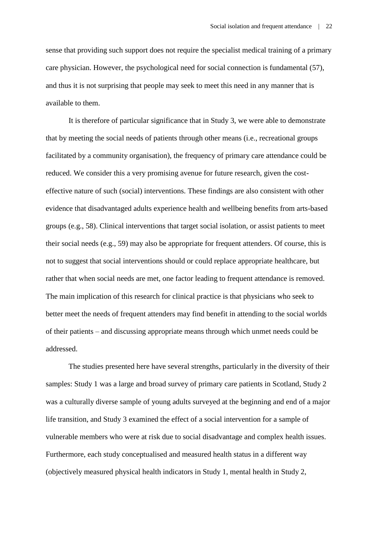sense that providing such support does not require the specialist medical training of a primary care physician. However, the psychological need for social connection is fundamental (57), and thus it is not surprising that people may seek to meet this need in any manner that is available to them.

It is therefore of particular significance that in Study 3, we were able to demonstrate that by meeting the social needs of patients through other means (i.e., recreational groups facilitated by a community organisation), the frequency of primary care attendance could be reduced. We consider this a very promising avenue for future research, given the costeffective nature of such (social) interventions. These findings are also consistent with other evidence that disadvantaged adults experience health and wellbeing benefits from arts-based groups (e.g., 58). Clinical interventions that target social isolation, or assist patients to meet their social needs (e.g., 59) may also be appropriate for frequent attenders. Of course, this is not to suggest that social interventions should or could replace appropriate healthcare, but rather that when social needs are met, one factor leading to frequent attendance is removed. The main implication of this research for clinical practice is that physicians who seek to better meet the needs of frequent attenders may find benefit in attending to the social worlds of their patients – and discussing appropriate means through which unmet needs could be addressed.

The studies presented here have several strengths, particularly in the diversity of their samples: Study 1 was a large and broad survey of primary care patients in Scotland, Study 2 was a culturally diverse sample of young adults surveyed at the beginning and end of a major life transition, and Study 3 examined the effect of a social intervention for a sample of vulnerable members who were at risk due to social disadvantage and complex health issues. Furthermore, each study conceptualised and measured health status in a different way (objectively measured physical health indicators in Study 1, mental health in Study 2,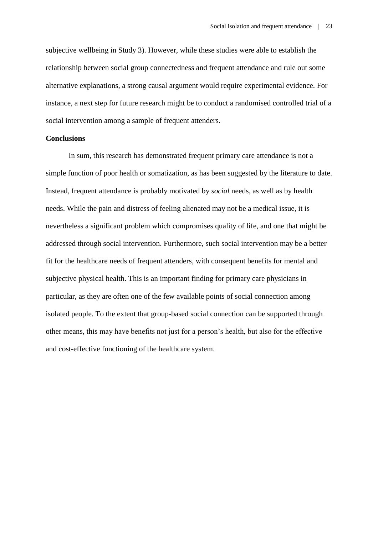subjective wellbeing in Study 3). However, while these studies were able to establish the relationship between social group connectedness and frequent attendance and rule out some alternative explanations, a strong causal argument would require experimental evidence. For instance, a next step for future research might be to conduct a randomised controlled trial of a social intervention among a sample of frequent attenders.

## **Conclusions**

In sum, this research has demonstrated frequent primary care attendance is not a simple function of poor health or somatization, as has been suggested by the literature to date. Instead, frequent attendance is probably motivated by *social* needs, as well as by health needs. While the pain and distress of feeling alienated may not be a medical issue, it is nevertheless a significant problem which compromises quality of life, and one that might be addressed through social intervention. Furthermore, such social intervention may be a better fit for the healthcare needs of frequent attenders, with consequent benefits for mental and subjective physical health. This is an important finding for primary care physicians in particular, as they are often one of the few available points of social connection among isolated people. To the extent that group-based social connection can be supported through other means, this may have benefits not just for a person's health, but also for the effective and cost-effective functioning of the healthcare system.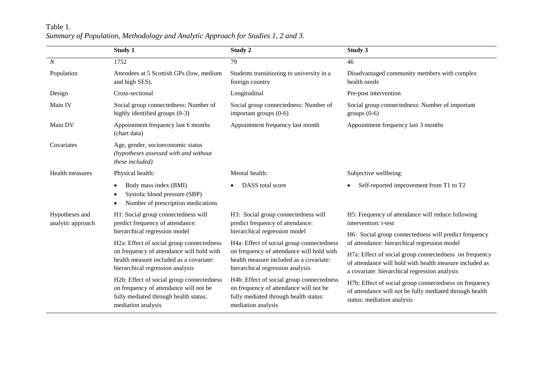# Table 1. *Summary of Population, Methodology and Analytic Approach for Studies 1, 2 and 3.*

|                                     | Study 1                                                                                                                                            | Study 2                                                                                                                                            | Study 3                                                                                                                                                            |  |  |
|-------------------------------------|----------------------------------------------------------------------------------------------------------------------------------------------------|----------------------------------------------------------------------------------------------------------------------------------------------------|--------------------------------------------------------------------------------------------------------------------------------------------------------------------|--|--|
| $\boldsymbol{N}$                    | 1752                                                                                                                                               | 79                                                                                                                                                 | 46                                                                                                                                                                 |  |  |
| Population                          | Attendees at 5 Scottish GPs (low, medium<br>and high SES).                                                                                         | Students transitioning to university in a<br>foreign country                                                                                       | Disadvantaged community members with complex<br>health needs                                                                                                       |  |  |
| Design                              | Cross-sectional                                                                                                                                    | Longitudinal                                                                                                                                       | Pre-post intervention                                                                                                                                              |  |  |
| Main IV                             | Social group connectedness: Number of<br>highly identified groups (0-3)                                                                            | Social group connectedness: Number of<br>important groups (0-6)                                                                                    | Social group connectedness: Number of important<br>groups $(0-6)$                                                                                                  |  |  |
| Main DV                             | Appointment frequency last 6 months<br>(chart data)                                                                                                | Appointment frequency last month                                                                                                                   | Appointment frequency last 3 months                                                                                                                                |  |  |
| Covariates                          | Age, gender, socioeconomic status<br>(hypotheses assessed with and without<br>these included)                                                      |                                                                                                                                                    |                                                                                                                                                                    |  |  |
| Health measures                     | Physical health:                                                                                                                                   | Mental health:                                                                                                                                     | Subjective wellbeing:                                                                                                                                              |  |  |
|                                     | Body mass index (BMI)<br>$\bullet$<br>Systolic blood pressure (SBP)<br>Number of prescription medications<br>$\bullet$                             | DASS total score                                                                                                                                   | Self-reported improvement from T1 to T2                                                                                                                            |  |  |
| Hypotheses and<br>analytic approach | H1: Social group connectedness will<br>predict frequency of attendance:                                                                            | H3: Social group connectedness will<br>predict frequency of attendance:                                                                            | H5: Frequency of attendance will reduce following<br>intervention: t-test                                                                                          |  |  |
|                                     | hierarchical regression model                                                                                                                      | hierarchical regression model                                                                                                                      | H6: Social group connectedness will predict frequency                                                                                                              |  |  |
|                                     | H2a: Effect of social group connectedness<br>on frequency of attendance will hold with                                                             | H4a: Effect of social group connectedness<br>on frequency of attendance will hold with                                                             | of attendance: hierarchical regression model                                                                                                                       |  |  |
|                                     | health measure included as a covariate:<br>hierarchical regression analysis                                                                        | health measure included as a covariate:<br>hierarchical regression analysis                                                                        | H7a: Effect of social group connectedness on frequency<br>of attendance will hold with health measure included as<br>a covariate: hierarchical regression analysis |  |  |
|                                     | H2b: Effect of social group connectedness<br>on frequency of attendance will not be<br>fully mediated through health status:<br>mediation analysis | H4b: Effect of social group connectedness<br>on frequency of attendance will not be<br>fully mediated through health status:<br>mediation analysis | H7b: Effect of social group connectedness on frequency<br>of attendance will not be fully mediated through health<br>status: mediation analysis                    |  |  |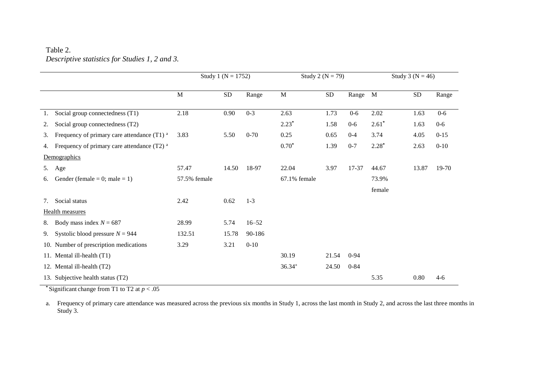## Table 2. *Descriptive statistics for Studies 1, 2 and 3.*

|    |                                                        | Study 1 ( $N = 1752$ ) |           | Study 2 ( $N = 79$ ) |              |            | Study 3 ( $N = 46$ ) |              |       |          |
|----|--------------------------------------------------------|------------------------|-----------|----------------------|--------------|------------|----------------------|--------------|-------|----------|
|    |                                                        | M                      | <b>SD</b> | Range                | $\mathbf M$  | ${\rm SD}$ | Range                | $\mathbf{M}$ | SD    | Range    |
| 1. | Social group connectedness (T1)                        | 2.18                   | 0.90      | $0 - 3$              | 2.63         | 1.73       | $0-6$                | 2.02         | 1.63  | $0-6$    |
| 2. | Social group connectedness (T2)                        |                        |           |                      | $2.23*$      | 1.58       | $0 - 6$              | $2.61*$      | 1.63  | $0 - 6$  |
| 3. | Frequency of primary care attendance (T1) a            | 3.83                   | 5.50      | $0 - 70$             | 0.25         | 0.65       | $0 - 4$              | 3.74         | 4.05  | $0 - 15$ |
| 4. | Frequency of primary care attendance (T2) <sup>a</sup> |                        |           |                      | $0.70*$      | 1.39       | $0 - 7$              | $2.28*$      | 2.63  | $0 - 10$ |
|    | Demographics                                           |                        |           |                      |              |            |                      |              |       |          |
| 5. | Age                                                    | 57.47                  | 14.50     | 18-97                | 22.04        | 3.97       | 17-37                | 44.67        | 13.87 | 19-70    |
| 6. | Gender (female = 0; male = 1)                          | 57.5% female           |           |                      | 67.1% female |            |                      | 73.9%        |       |          |
|    |                                                        |                        |           |                      |              |            |                      | female       |       |          |
| 7. | Social status                                          | 2.42                   | 0.62      | $1 - 3$              |              |            |                      |              |       |          |
|    | <b>Health measures</b>                                 |                        |           |                      |              |            |                      |              |       |          |
| 8. | Body mass index $N = 687$                              | 28.99                  | 5.74      | $16 - 52$            |              |            |                      |              |       |          |
| 9. | Systolic blood pressure $N = 944$                      | 132.51                 | 15.78     | 90-186               |              |            |                      |              |       |          |
|    | 10. Number of prescription medications                 | 3.29                   | 3.21      | $0 - 10$             |              |            |                      |              |       |          |
|    | 11. Mental ill-health (T1)                             |                        |           |                      | 30.19        | 21.54      | $0 - 94$             |              |       |          |
|    | 12. Mental ill-health (T2)                             |                        |           |                      | $36.34^{+}$  | 24.50      | $0 - 84$             |              |       |          |
|    | 13. Subjective health status (T2)                      |                        |           |                      |              |            |                      | 5.35         | 0.80  | $4-6$    |

**\*** Significant change from T1 to T2 at *p* < .05

a. Frequency of primary care attendance was measured across the previous six months in Study 1, across the last month in Study 2, and across the last three months in Study 3.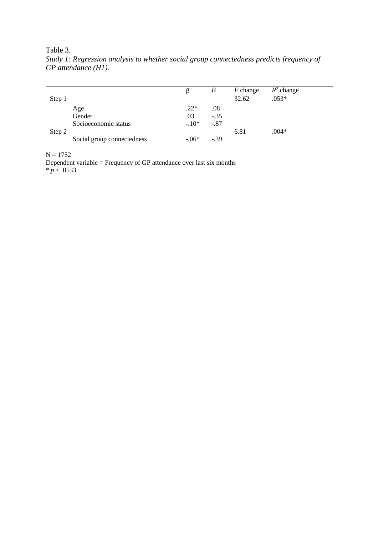Table 3.

|        |                            |         | B      | <i>F</i> change | $R^2$ change |
|--------|----------------------------|---------|--------|-----------------|--------------|
| Step 1 |                            |         |        | 32.62           | $.053*$      |
|        | Age                        | $.22*$  | .08    |                 |              |
|        | Gender                     | .03     | $-.35$ |                 |              |
|        | Socioeconomic status       | $-.10*$ | $-.87$ |                 |              |
| Step 2 |                            |         |        | 6.81            | $.004*$      |
|        | Social group connectedness | $-.06*$ | $-.39$ |                 |              |

*Study 1: Regression analysis to whether social group connectedness predicts frequency of GP attendance (H1).* 

 $N = 1752$ 

Dependent variable = Frequency of GP attendance over last six months \* *p* < .0533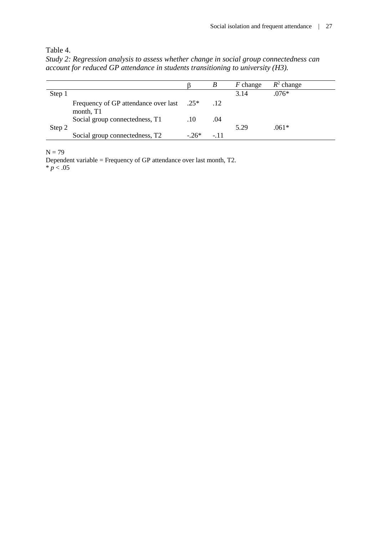Table 4.

*Study 2: Regression analysis to assess whether change in social group connectedness can account for reduced GP attendance in students transitioning to university (H3).* 

|        |                                                   |         | В      | $F$ change | $R^2$ change |
|--------|---------------------------------------------------|---------|--------|------------|--------------|
| Step 1 |                                                   |         |        | 3.14       | $.076*$      |
|        | Frequency of GP attendance over last<br>month, T1 | $0.25*$ | .12    |            |              |
| Step 2 | Social group connectedness, T1                    | .10     | .04    | 5.29       | $.061*$      |
|        | Social group connectedness, T <sub>2</sub>        | $-26*$  | $-.11$ |            |              |

 $N = 79$ 

Dependent variable = Frequency of GP attendance over last month, T2.  $* p < .05$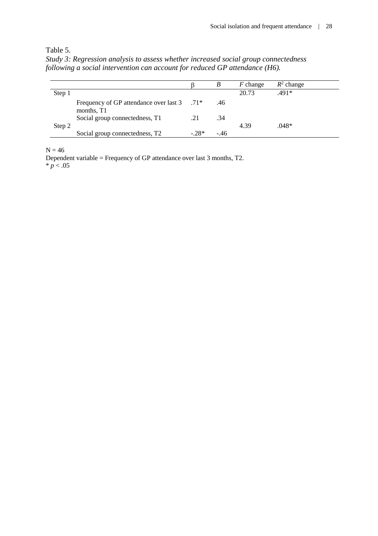Table 5.

*Study 3: Regression analysis to assess whether increased social group connectedness following a social intervention can account for reduced GP attendance (H6).* 

|        |                                                           |        | B      | $F$ change | $R^2$ change |
|--------|-----------------------------------------------------------|--------|--------|------------|--------------|
| Step 1 |                                                           |        |        | 20.73      | $.491*$      |
|        | Frequency of GP attendance over last 3 .71*<br>months, T1 |        | .46    |            |              |
| Step 2 | Social group connectedness, T1                            | .21    | .34    | 4.39       | .048*        |
|        | Social group connectedness, T2                            | $-28*$ | $-.46$ |            |              |

 $N = 46$ 

Dependent variable = Frequency of GP attendance over last 3 months, T2.  $* p < .05$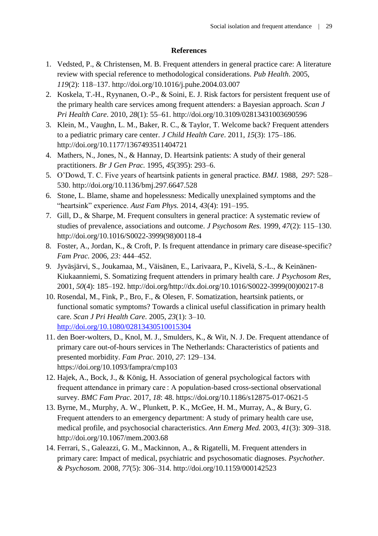## **References**

- 1. Vedsted, P., & Christensen, M. B. Frequent attenders in general practice care: A literature review with special reference to methodological considerations. *Pub Health*. 2005, *119*(2): 118–137.<http://doi.org/10.1016/j.puhe.2004.03.007>
- 2. Koskela, T.-H., Ryynanen, O.-P., & Soini, E. J. Risk factors for persistent frequent use of the primary health care services among frequent attenders: a Bayesian approach. *Scan J Pri Health Care*. 2010, *28*(1): 55–61. http://doi.org/10.3109/02813431003690596
- 3. Klein, M., Vaughn, L. M., Baker, R. C., & Taylor, T. Welcome back? Frequent attenders to a pediatric primary care center. *J Child Health Care*. 2011, *15*(3): 175–186. http://doi.org/10.1177/1367493511404721
- 4. Mathers, N., Jones, N., & Hannay, D. Heartsink patients: A study of their general practitioners. *Br J Gen Prac.* 1995, *45*(395): 293–6.
- 5. O'Dowd, T. C. Five years of heartsink patients in general practice. *BMJ.* 1988, *297*: 528– 530. http://doi.org/10.1136/bmj.297.6647.528
- 6. Stone, L. Blame, shame and hopelessness: Medically unexplained symptoms and the "heartsink" experience. *Aust Fam Phys.* 2014, *43*(4): 191–195.
- 7. Gill, D., & Sharpe, M. Frequent consulters in general practice: A systematic review of studies of prevalence, associations and outcome. *J Psychosom Res.* 1999, *47*(2): 115–130. [http://doi.org/10.1016/S0022-3999\(98\)00118-4](http://doi.org/10.1016/S0022-3999(98)00118-4)
- 8. Foster, A., Jordan, K., & Croft, P. Is frequent attendance in primary care disease-specific? *Fam Prac.* 2006, *23:* 444–452.
- 9. Jyväsjärvi, S., Joukamaa, M., Väisänen, E., Larivaara, P., Kivelä, S.-L., & Keinänen-Kiukaanniemi, S. Somatizing frequent attenders in primary health care. *J Psychosom Res*, 2001, *50*(4): 185–192. [http://doi.org/http://dx.doi.org/10.1016/S0022-3999\(00\)00217-8](http://doi.org/http:/dx.doi.org/10.1016/S0022-3999(00)00217-8)
- 10. Rosendal, M., Fink, P., Bro, F., & Olesen, F. Somatization, heartsink patients, or functional somatic symptoms? Towards a clinical useful classification in primary health care. *Scan J Pri Health Care.* 2005, *23*(1): 3–10. <http://doi.org/10.1080/02813430510015304>
- 11. den Boer-wolters, D., Knol, M. J., Smulders, K., & Wit, N. J. De. Frequent attendance of primary care out-of-hours services in The Netherlands: Characteristics of patients and presented morbidity. *Fam Prac.* 2010, *27*: 129–134. <https://doi.org/10.1093/fampra/cmp103>
- 12. Hajek, A., Bock, J., & König, H. Association of general psychological factors with frequent attendance in primary care : A population-based cross-sectional observational survey. *BMC Fam Prac.* 2017, *18*: 48. https://doi.org/10.1186/s12875-017-0621-5
- 13. Byrne, M., Murphy, A. W., Plunkett, P. K., McGee, H. M., Murray, A., & Bury, G. Frequent attenders to an emergency department: A study of primary health care use, medical profile, and psychosocial characteristics. *Ann Emerg Med.* 2003, *41*(3): 309–318. <http://doi.org/10.1067/mem.2003.68>
- 14. Ferrari, S., Galeazzi, G. M., Mackinnon, A., & Rigatelli, M. Frequent attenders in primary care: Impact of medical, psychiatric and psychosomatic diagnoses. *Psychother. & Psychosom.* 2008, *77*(5): 306–314. http://doi.org/10.1159/000142523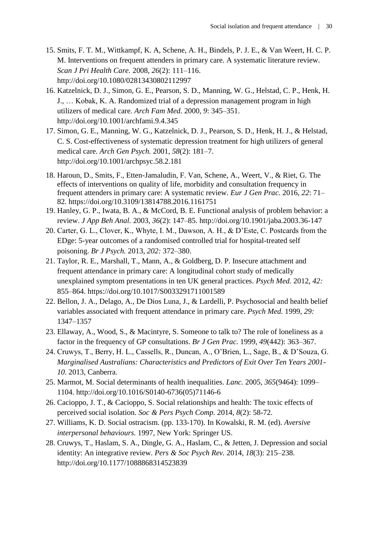- 15. Smits, F. T. M., Wittkampf, K. A, Schene, A. H., Bindels, P. J. E., & Van Weert, H. C. P. M. Interventions on frequent attenders in primary care. A systematic literature review. *Scan J Pri Health Care.* 2008, *26*(2): 111–116. http://doi.org/10.1080/02813430802112997
- 16. Katzelnick, D. J., Simon, G. E., Pearson, S. D., Manning, W. G., Helstad, C. P., Henk, H. J., … Kobak, K. A. Randomized trial of a depression management program in high utilizers of medical care. *Arch Fam Med.* 2000, *9*: 345–351. http://doi.org/10.1001/archfami.9.4.345
- 17. Simon, G. E., Manning, W. G., Katzelnick, D. J., Pearson, S. D., Henk, H. J., & Helstad, C. S. Cost-effectiveness of systematic depression treatment for high utilizers of general medical care. *Arch Gen Psych.* 2001, *58*(2): 181–7. <http://doi.org/10.1001/archpsyc.58.2.181>
- 18. Haroun, D., Smits, F., Etten-Jamaludin, F. Van, Schene, A., Weert, V., & Riet, G. The effects of interventions on quality of life, morbidity and consultation frequency in frequent attenders in primary care: A systematic review. *Eur J Gen Prac.* 2016, *22*: 71– 82. https://doi.org/10.3109/13814788.2016.1161751
- 19. Hanley, G. P., Iwata, B. A., & McCord, B. E. Functional analysis of problem behavior: a review. *J App Beh Anal.* 2003, *36*(2): 147–85. http://doi.org/10.1901/jaba.2003.36-147
- 20. Carter, G. L., Clover, K., Whyte, I. M., Dawson, A. H., & D'Este, C. Postcards from the EDge: 5-year outcomes of a randomised controlled trial for hospital-treated self poisoning. *Br J Psych.* 2013, *202:* 372–380.
- 21. Taylor, R. E., Marshall, T., Mann, A., & Goldberg, D. P. Insecure attachment and frequent attendance in primary care: A longitudinal cohort study of medically unexplained symptom presentations in ten UK general practices. *Psych Med.* 2012, *42:* 855–864.<https://doi.org/10.1017/S0033291711001589>
- 22. Bellon, J. A., Delago, A., De Dios Luna, J., & Lardelli, P. Psychosocial and health belief variables associated with frequent attendance in primary care. *Psych Med.* 1999, *29:* 1347–1357
- 23. Ellaway, A., Wood, S., & Macintyre, S. Someone to talk to? The role of loneliness as a factor in the frequency of GP consultations. *Br J Gen Prac.* 1999, *49*(442): 363–367.
- 24. Cruwys, T., Berry, H. L., Cassells, R., Duncan, A., O'Brien, L., Sage, B., & D'Souza, G. *Marginalised Australians: Characteristics and Predictors of Exit Over Ten Years 2001- 10*. 2013, Canberra.
- 25. Marmot, M. Social determinants of health inequalities. *Lanc.* 2005, *365*(9464): 1099– 1104. http://doi.org/10.1016/S0140-6736(05)71146-6
- 26. Cacioppo, J. T., & Cacioppo, S. Social relationships and health: The toxic effects of perceived social isolation. *Soc & Pers Psych Comp.* 2014, *8*(2): 58-72.
- 27. Williams, K. D. Social ostracism. (pp. 133-170). In Kowalski, R. M. (ed). *Aversive interpersonal behaviours.* 1997, New York: Springer US.
- 28. Cruwys, T., Haslam, S. A., Dingle, G. A., Haslam, C., & Jetten, J. Depression and social identity: An integrative review. *Pers & Soc Psych Rev.* 2014, *18*(3): 215–238. http://doi.org/10.1177/1088868314523839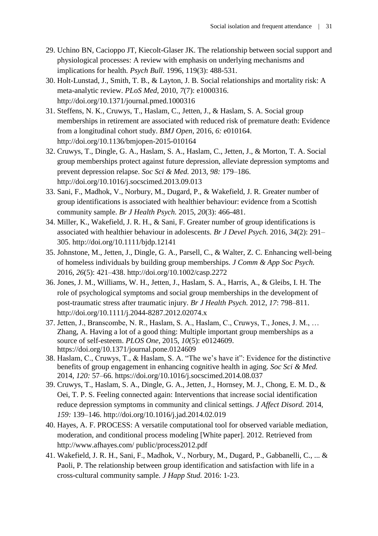- 29. Uchino BN, Cacioppo JT, Kiecolt-Glaser JK. The relationship between social support and physiological processes: A review with emphasis on underlying mechanisms and implications for health. *Psych Bull*. 1996, 119(3): 488-531.
- 30. Holt-Lunstad, J., Smith, T. B., & Layton, J. B. Social relationships and mortality risk: A meta-analytic review. *PLoS Med*, 2010, *7*(7): e1000316. http://doi.org/10.1371/journal.pmed.1000316
- 31. Steffens, N. K., Cruwys, T., Haslam, C., Jetten, J., & Haslam, S. A. Social group memberships in retirement are associated with reduced risk of premature death: Evidence from a longitudinal cohort study. *BMJ Open*, 2016, *6:* e010164. http://doi.org/10.1136/bmjopen-2015-010164
- 32. Cruwys, T., Dingle, G. A., Haslam, S. A., Haslam, C., Jetten, J., & Morton, T. A. Social group memberships protect against future depression, alleviate depression symptoms and prevent depression relapse. *Soc Sci & Med.* 2013, *98:* 179–186. <http://doi.org/10.1016/j.socscimed.2013.09.013>
- 33. Sani, F., Madhok, V., Norbury, M., Dugard, P., & Wakefield, J. R. Greater number of group identifications is associated with healthier behaviour: evidence from a Scottish community sample. *Br J Health Psych.* 2015, *20*(3): 466-481.
- 34. Miller, K., Wakefield, J. R. H., & Sani, F. Greater number of group identifications is associated with healthier behaviour in adolescents. *Br J Devel Psych.* 2016, *34*(2): 291– 305. http://doi.org/10.1111/bjdp.12141
- 35. Johnstone, M., Jetten, J., Dingle, G. A., Parsell, C., & Walter, Z. C. Enhancing well-being of homeless individuals by building group memberships. *J Comm & App Soc Psych.*  2016, *26*(5): 421–438. http://doi.org/10.1002/casp.2272
- 36. Jones, J. M., Williams, W. H., Jetten, J., Haslam, S. A., Harris, A., & Gleibs, I. H. The role of psychological symptoms and social group memberships in the development of post-traumatic stress after traumatic injury. *Br J Health Psych.* 2012, *17*: 798–811. <http://doi.org/10.1111/j.2044-8287.2012.02074.x>
- 37. Jetten, J., Branscombe, N. R., Haslam, S. A., Haslam, C., Cruwys, T., Jones, J. M., … Zhang, A. Having a lot of a good thing: Multiple important group memberships as a source of self-esteem. *PLOS One*, 2015, *10*(5): e0124609. https://doi.org/10.1371/journal.pone.0124609
- 38. Haslam, C., Cruwys, T., & Haslam, S. A. "The we's have it": Evidence for the distinctive benefits of group engagement in enhancing cognitive health in aging. *Soc Sci & Med.*  2014, *120:* 57–66. https://doi.org/10.1016/j.socscimed.2014.08.037
- 39. Cruwys, T., Haslam, S. A., Dingle, G. A., Jetten, J., Hornsey, M. J., Chong, E. M. D., & Oei, T. P. S. Feeling connected again: Interventions that increase social identification reduce depression symptoms in community and clinical settings. *J Affect Disord.* 2014, *159:* 139–146. http://doi.org/10.1016/j.jad.2014.02.019
- 40. Hayes, A. F. PROCESS: A versatile computational tool for observed variable mediation, moderation, and conditional process modeling [White paper]. 2012. Retrieved from http://www.afhayes.com/ public/process2012.pdf
- 41. Wakefield, J. R. H., Sani, F., Madhok, V., Norbury, M., Dugard, P., Gabbanelli, C., ... & Paoli, P. The relationship between group identification and satisfaction with life in a cross-cultural community sample. *J Happ Stud.* 2016: 1-23.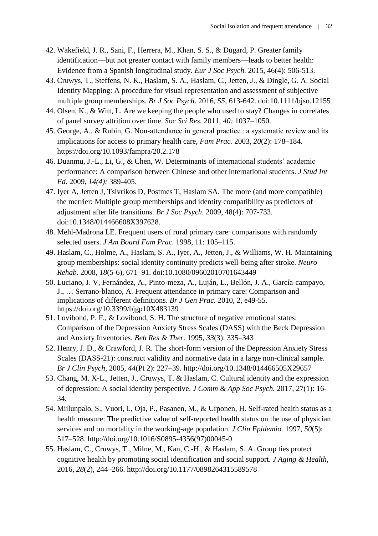- 42. Wakefield, J. R., Sani, F., Herrera, M., Khan, S. S., & Dugard, P. Greater family identification—but not greater contact with family members—leads to better health: Evidence from a Spanish longitudinal study. *Eur J Soc Psych.* 2015, 46(4): 506-513.
- 43. Cruwys, T., Steffens, N. K., Haslam, S. A., Haslam, C., Jetten, J., & Dingle, G. A. Social Identity Mapping: A procedure for visual representation and assessment of subjective multiple group memberships. *Br J Soc Psych*. 2016, *55,* 613-642. doi:10.1111/bjso.12155
- 44. Olsen, K., & Witt, L. Are we keeping the people who used to stay? Changes in correlates of panel survey attrition over time. *Soc Sci Res.* 2011, *40:* 1037–1050.
- 45. George, A., & Rubin, G. Non-attendance in general practice : a systematic review and its implications for access to primary health care, *Fam Prac.* 2003, *20*(2): 178–184. https://doi.org/10.1093/fampra/20.2.178
- 46. Duanmu, J.-L., Li, G., & Chen, W. Determinants of international students' academic performance: A comparison between Chinese and other international students. *J Stud Int Ed.* 2009, *14(4):* 389-405.
- 47. Iyer A, Jetten J, Tsivrikos D, Postmes T, Haslam SA. The more (and more compatible) the merrier: Multiple group memberships and identity compatibility as predictors of adjustment after life transitions. *Br J Soc Psych*. 2009, 48(4): 707-733. doi:10.1348/014466608X397628.
- 48. Mehl-Madrona LE. Frequent users of rural primary care: comparisons with randomly selected users. *J Am Board Fam Prac.* 1998, 11: 105–115.
- 49. Haslam, C., Holme, A., Haslam, S. A., Iyer, A., Jetten, J., & Williams, W. H. Maintaining group memberships: social identity continuity predicts well-being after stroke. *Neuro Rehab.* 2008, *18*(5-6), 671–91. doi:10.1080/09602010701643449
- 50. Luciano, J. V, Fernández, A., Pinto-meza, A., Luján, L., Bellón, J. A., García-campayo, J., … Serrano-blanco, A. Frequent attendance in primary care: Comparison and implications of different definitions. *Br J Gen Prac.* 2010, 2, e49-55. https://doi.org/10.3399/bjgp10X483139
- 51. Lovibond, P. F., & Lovibond, S. H. The structure of negative emotional states: Comparison of the Depression Anxiety Stress Scales (DASS) with the Beck Depression and Anxiety Inventories. *Beh Res & Ther.* 1995, *33*(3): 335–343
- 52. Henry, J. D., & Crawford, J. R. The short-form version of the Depression Anxiety Stress Scales (DASS-21): construct validity and normative data in a large non-clinical sample. *Br J Clin Psych*, 2005, *44*(Pt 2): 227–39. http://doi.org/10.1348/014466505X29657
- 53. Chang, M. X-L., Jetten, J., Cruwys, T. & Haslam, C. Cultural identity and the expression of depression: A social identity perspective. *J Comm & App Soc Psych.* 2017, 27(1): 16- 34.
- 54. Miilunpalo, S., Vuori, I., Oja, P., Pasanen, M., & Urponen, H. Self-rated health status as a health measure: The predictive value of self-reported health status on the use of physician services and on mortality in the working-age population. *J Clin Epidemio.* 1997, *50*(5): 517–528. http://doi.org/10.1016/S0895-4356(97)00045-0
- 55. Haslam, C., Cruwys, T., Milne, M., Kan, C.-H., & Haslam, S. A. Group ties protect cognitive health by promoting social identification and social support. *J Aging & Health*, 2016, *28*(2), 244–266.<http://doi.org/10.1177/0898264315589578>